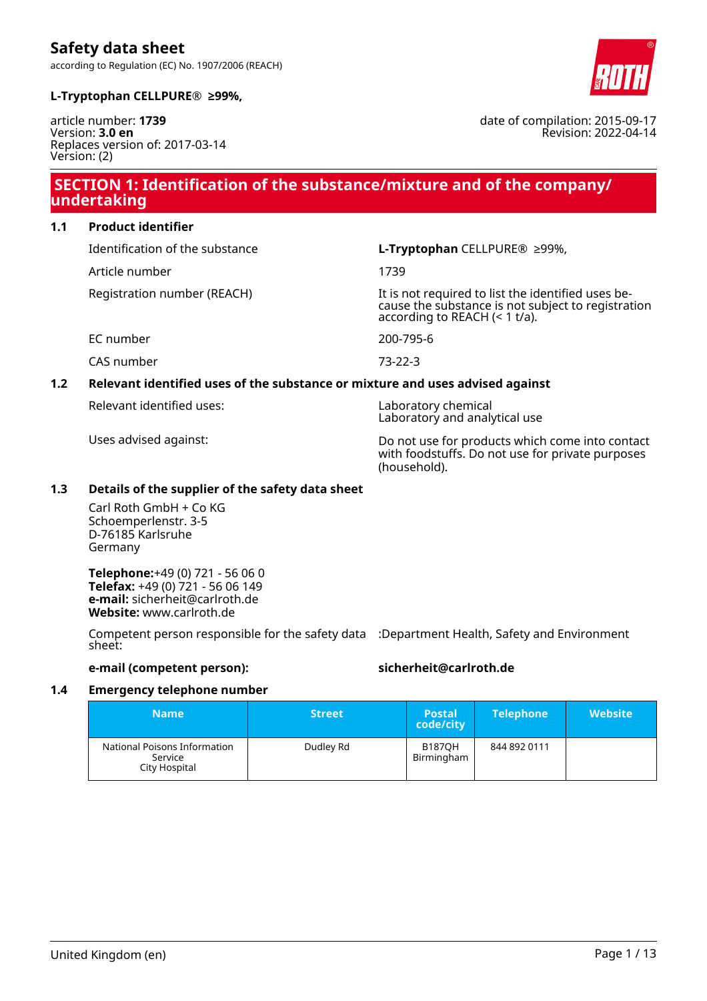

date of compilation: 2015-09-17

Revision: 2022-04-14

#### **L-Tryptophan CELLPURE® ≥99%,**

article number: **1739** Version: **3.0 en** Replaces version of: 2017-03-14 Version: (2)

### **SECTION 1: Identification of the substance/mixture and of the company/ undertaking**

**1.1 Product identifier**

Article number 1739

Identification of the substance **L-Tryptophan** CELLPURE® ≥99%,

Registration number (REACH) It is not required to list the identified uses because the substance is not subject to registration according to REACH (< 1 t/a).

EC number 200-795-6

CAS number 73-22-3

### **1.2 Relevant identified uses of the substance or mixture and uses advised against**

Relevant identified uses: Laboratory chemical

Laboratory and analytical use

Uses advised against: Do not use for products which come into contact with foodstuffs. Do not use for private purposes (household).

#### **1.3 Details of the supplier of the safety data sheet**

Carl Roth GmbH + Co KG Schoemperlenstr. 3-5 D-76185 Karlsruhe Germany

**Telephone:**+49 (0) 721 - 56 06 0 **Telefax:** +49 (0) 721 - 56 06 149 **e-mail:** sicherheit@carlroth.de **Website:** www.carlroth.de

Competent person responsible for the safety data :Department Health, Safety and Environment sheet:

#### **e-mail (competent person): sicherheit@carlroth.de**

#### **1.4 Emergency telephone number**

| <b>Name</b>                                              | <b>Street</b> | <b>Postal</b><br>code/city  | <b>Telephone</b> | <b>Website</b> |
|----------------------------------------------------------|---------------|-----------------------------|------------------|----------------|
| National Poisons Information<br>Service<br>City Hospital | Dudley Rd     | <b>B187OH</b><br>Birmingham | 844 892 0111     |                |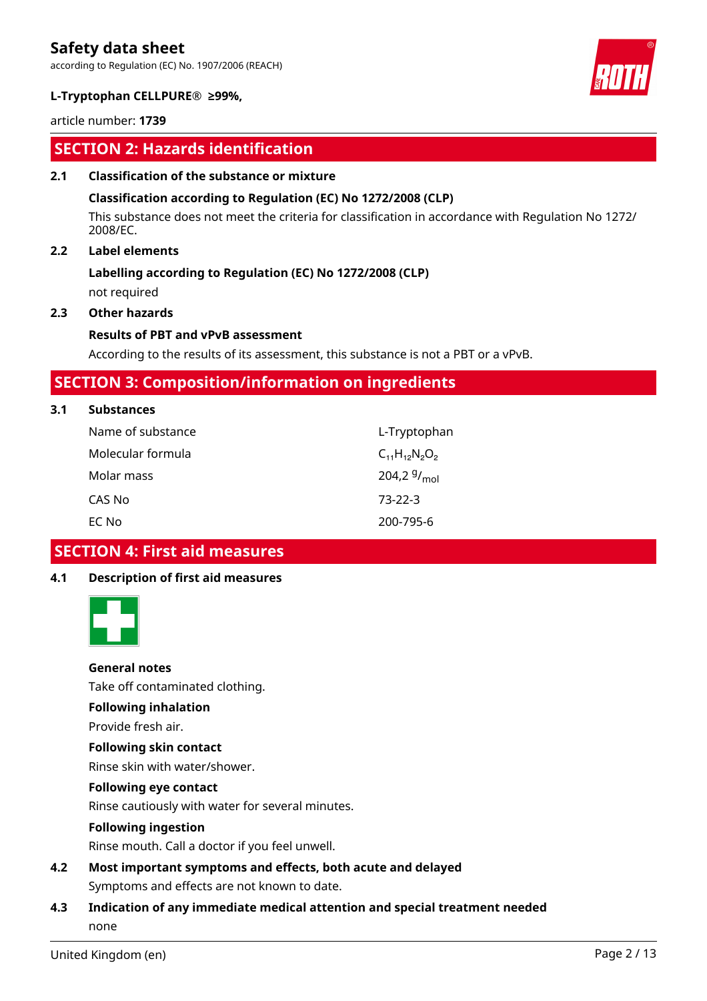according to Regulation (EC) No. 1907/2006 (REACH)



#### **L-Tryptophan CELLPURE® ≥99%,**

article number: **1739**

### **SECTION 2: Hazards identification**

#### **2.1 Classification of the substance or mixture**

#### **Classification according to Regulation (EC) No 1272/2008 (CLP)**

This substance does not meet the criteria for classification in accordance with Regulation No 1272/ 2008/EC.

### **2.2 Label elements**

### **Labelling according to Regulation (EC) No 1272/2008 (CLP)**

not required

#### **2.3 Other hazards**

#### **Results of PBT and vPvB assessment**

According to the results of its assessment, this substance is not a PBT or a vPvB.

### **SECTION 3: Composition/information on ingredients**

#### **3.1 Substances**

| Name of substance | L-Tryptophan         |
|-------------------|----------------------|
| Molecular formula | $C_{11}H_{12}N_2O_2$ |
| Molar mass        | 204,2 $9/_{mol}$     |
| CAS No            | $73-22-3$            |
| EC No             | 200-795-6            |

### **SECTION 4: First aid measures**

#### **4.1 Description of first aid measures**



#### **General notes**

Take off contaminated clothing.

### **Following inhalation**

Provide fresh air.

#### **Following skin contact**

Rinse skin with water/shower.

#### **Following eye contact**

Rinse cautiously with water for several minutes.

#### **Following ingestion**

Rinse mouth. Call a doctor if you feel unwell.

**4.2 Most important symptoms and effects, both acute and delayed** Symptoms and effects are not known to date.

### **4.3 Indication of any immediate medical attention and special treatment needed** none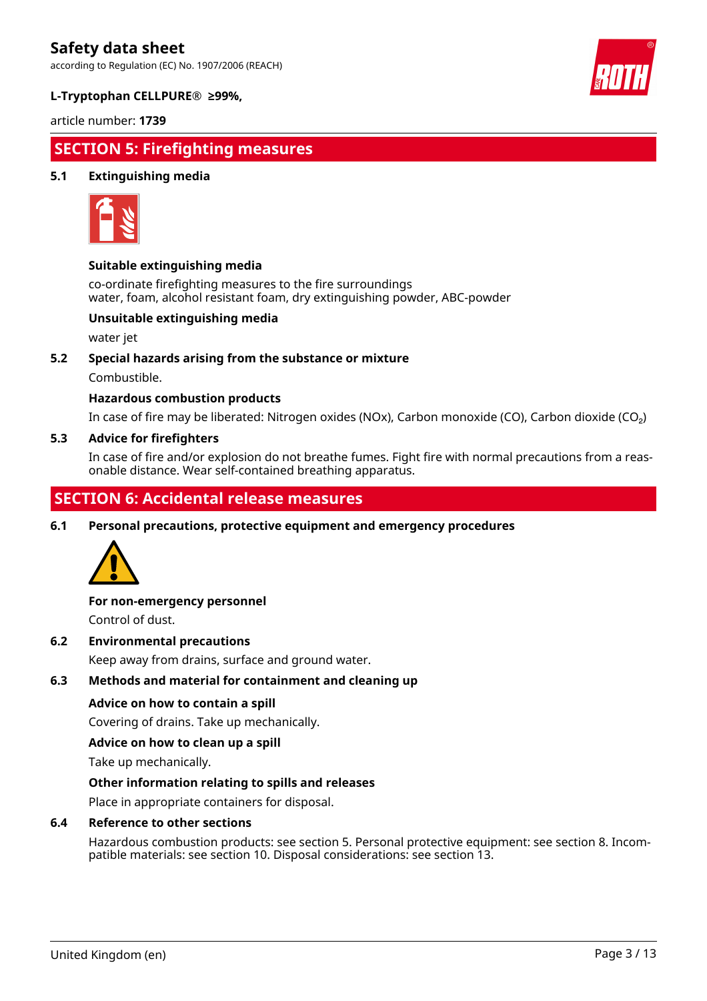according to Regulation (EC) No. 1907/2006 (REACH)



#### **L-Tryptophan CELLPURE® ≥99%,**

article number: **1739**

## **SECTION 5: Firefighting measures**

#### **5.1 Extinguishing media**



#### **Suitable extinguishing media**

co-ordinate firefighting measures to the fire surroundings water, foam, alcohol resistant foam, dry extinguishing powder, ABC-powder

#### **Unsuitable extinguishing media**

water jet

#### **5.2 Special hazards arising from the substance or mixture**

Combustible.

#### **Hazardous combustion products**

In case of fire may be liberated: Nitrogen oxides (NOx), Carbon monoxide (CO), Carbon dioxide (CO₂)

#### **5.3 Advice for firefighters**

In case of fire and/or explosion do not breathe fumes. Fight fire with normal precautions from a reasonable distance. Wear self-contained breathing apparatus.

## **SECTION 6: Accidental release measures**

**6.1 Personal precautions, protective equipment and emergency procedures**



#### **For non-emergency personnel**

Control of dust.

#### **6.2 Environmental precautions**

Keep away from drains, surface and ground water.

#### **6.3 Methods and material for containment and cleaning up**

#### **Advice on how to contain a spill**

Covering of drains. Take up mechanically.

#### **Advice on how to clean up a spill**

Take up mechanically.

#### **Other information relating to spills and releases**

Place in appropriate containers for disposal.

#### **6.4 Reference to other sections**

Hazardous combustion products: see section 5. Personal protective equipment: see section 8. Incompatible materials: see section 10. Disposal considerations: see section 13.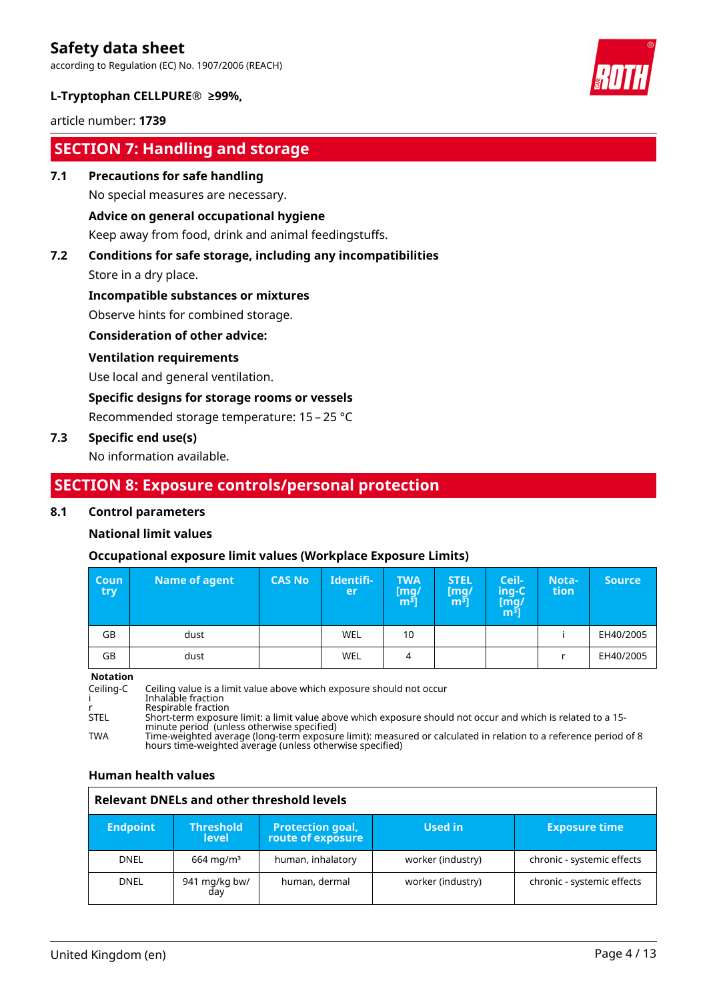according to Regulation (EC) No. 1907/2006 (REACH)



#### **L-Tryptophan CELLPURE® ≥99%,**

article number: **1739**

### **SECTION 7: Handling and storage**

#### **7.1 Precautions for safe handling**

No special measures are necessary.

#### **Advice on general occupational hygiene**

Keep away from food, drink and animal feedingstuffs.

# **7.2 Conditions for safe storage, including any incompatibilities**

Store in a dry place.

#### **Incompatible substances or mixtures**

Observe hints for combined storage.

#### **Consideration of other advice:**

#### **Ventilation requirements**

Use local and general ventilation.

#### **Specific designs for storage rooms or vessels**

Recommended storage temperature: 15 – 25 °C

#### **7.3 Specific end use(s)**

No information available.

### **SECTION 8: Exposure controls/personal protection**

#### **8.1 Control parameters**

#### **National limit values**

#### **Occupational exposure limit values (Workplace Exposure Limits)**

| <b>Coun</b><br>try = | Name of agent | <b>CAS No</b> | Identifi-<br>er | <b>TWA</b><br>mg/]<br>m <sup>3</sup> | <b>STEL</b><br>[mg]<br>m <sup>3</sup> | Ceil-<br>ing-C<br>$\begin{bmatrix} \overline{\text{mg}} \\ \overline{\text{m}}^3 \end{bmatrix}$ | Nota-<br>tion | <b>Source</b> |
|----------------------|---------------|---------------|-----------------|--------------------------------------|---------------------------------------|-------------------------------------------------------------------------------------------------|---------------|---------------|
| GB                   | dust          |               | WEL             | 10                                   |                                       |                                                                                                 |               | EH40/2005     |
| GB                   | dust          |               | WEL             | 4                                    |                                       |                                                                                                 |               | EH40/2005     |

**Notation**

Ceiling-C Ceiling value is a limit value above which exposure should not occur i Inhalable fraction r Respirable fraction STEL Short-term exposure limit: a limit value above which exposure should not occur and which is related to a 15 minute period (unless otherwise specified) TWA Time-weighted average (long-term exposure limit): measured or calculated in relation to a reference period of 8 hours time-weighted average (unless otherwise specified)

#### **Human health values**

|                 | <b>Relevant DNELs and other threshold levels</b> |                                              |                   |                            |  |  |
|-----------------|--------------------------------------------------|----------------------------------------------|-------------------|----------------------------|--|--|
| <b>Endpoint</b> | <b>Threshold</b><br><b>level</b>                 | <b>Protection goal,</b><br>route of exposure | Used in           | <b>Exposure time</b>       |  |  |
| <b>DNEL</b>     | $664 \,\mathrm{mq/m^3}$                          | human, inhalatory                            | worker (industry) | chronic - systemic effects |  |  |
| <b>DNEL</b>     | 941 mg/kg bw/<br>dav                             | human, dermal                                | worker (industry) | chronic - systemic effects |  |  |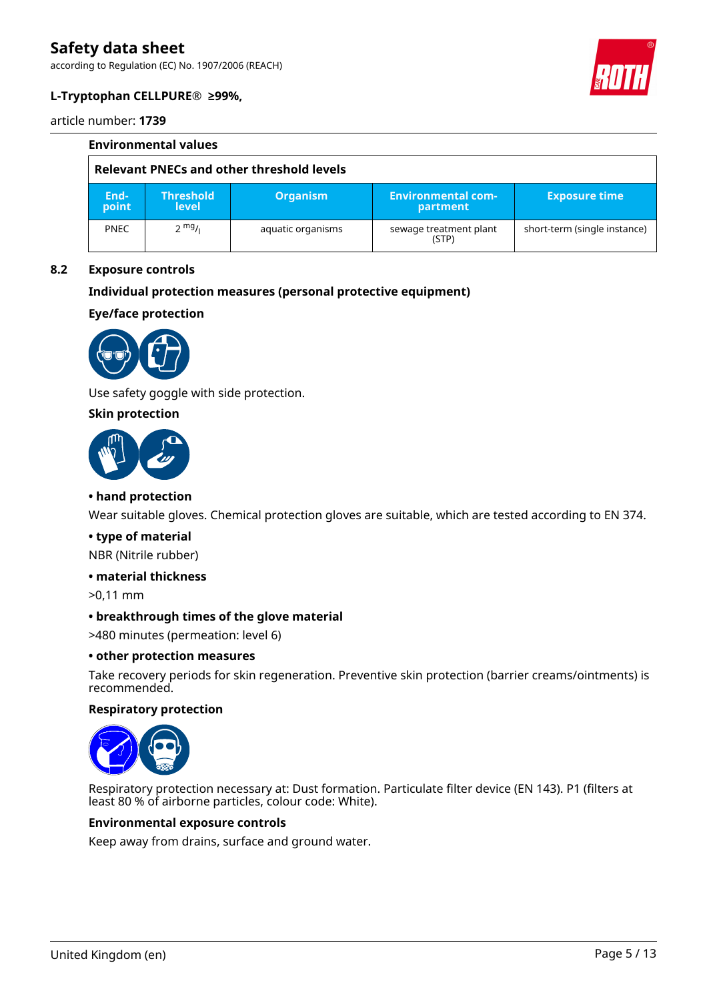according to Regulation (EC) No. 1907/2006 (REACH)



### **L-Tryptophan CELLPURE® ≥99%,**

article number: **1739**

|                                           | <b>Environmental values</b>      |                   |                                       |                              |  |  |
|-------------------------------------------|----------------------------------|-------------------|---------------------------------------|------------------------------|--|--|
| Relevant PNECs and other threshold levels |                                  |                   |                                       |                              |  |  |
| End-<br>point                             | <b>Threshold</b><br><b>level</b> | <b>Organism</b>   | <b>Environmental com-</b><br>partment | <b>Exposure time</b>         |  |  |
| <b>PNEC</b>                               | $2 \frac{mg}{l}$                 | aquatic organisms | sewage treatment plant<br>(STP)       | short-term (single instance) |  |  |

#### **8.2 Exposure controls**

#### **Individual protection measures (personal protective equipment)**

**Eye/face protection**



Use safety goggle with side protection.

#### **Skin protection**



#### **• hand protection**

Wear suitable gloves. Chemical protection gloves are suitable, which are tested according to EN 374.

#### **• type of material**

NBR (Nitrile rubber)

#### **• material thickness**

>0,11 mm

#### **• breakthrough times of the glove material**

>480 minutes (permeation: level 6)

#### **• other protection measures**

Take recovery periods for skin regeneration. Preventive skin protection (barrier creams/ointments) is recommended.

#### **Respiratory protection**



Respiratory protection necessary at: Dust formation. Particulate filter device (EN 143). P1 (filters at least 80 % of airborne particles, colour code: White).

#### **Environmental exposure controls**

Keep away from drains, surface and ground water.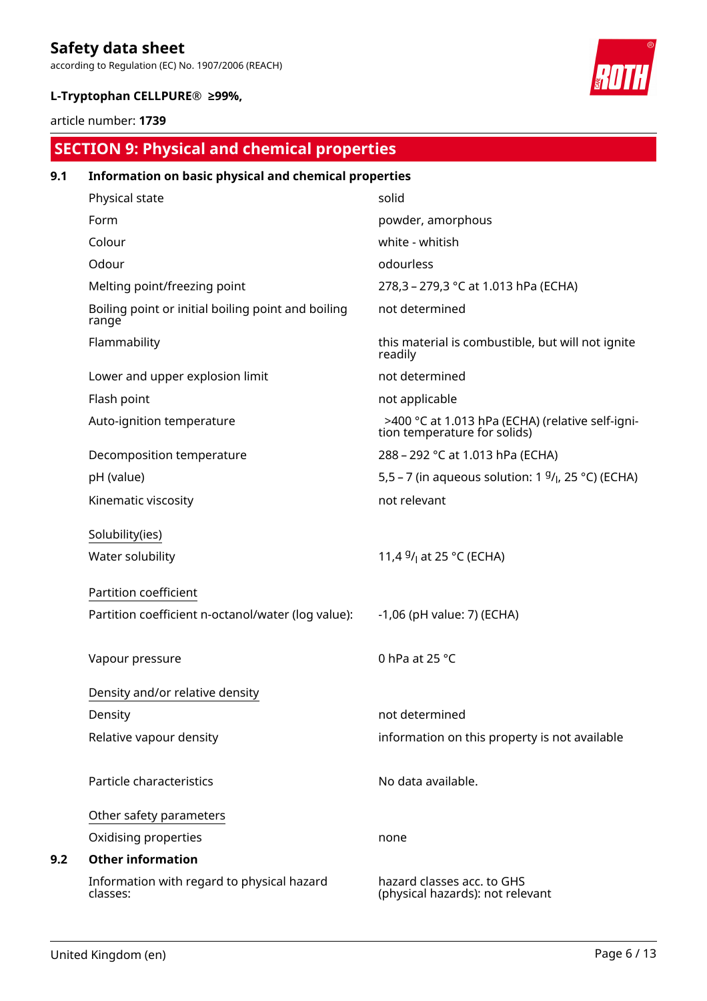according to Regulation (EC) No. 1907/2006 (REACH)

### **L-Tryptophan CELLPURE® ≥99%,**

article number: **1739**

# **SECTION 9: Physical and chemical properties**

| 9.1 | Information on basic physical and chemical properties       |                                                                                  |  |  |  |
|-----|-------------------------------------------------------------|----------------------------------------------------------------------------------|--|--|--|
|     | Physical state                                              | solid                                                                            |  |  |  |
|     | Form                                                        | powder, amorphous                                                                |  |  |  |
|     | Colour                                                      | white - whitish                                                                  |  |  |  |
|     | Odour                                                       | odourless                                                                        |  |  |  |
|     | Melting point/freezing point                                | 278,3 - 279,3 °C at 1.013 hPa (ECHA)                                             |  |  |  |
|     | Boiling point or initial boiling point and boiling<br>range | not determined                                                                   |  |  |  |
|     | Flammability                                                | this material is combustible, but will not ignite<br>readily                     |  |  |  |
|     | Lower and upper explosion limit                             | not determined                                                                   |  |  |  |
|     | Flash point                                                 | not applicable                                                                   |  |  |  |
|     | Auto-ignition temperature                                   | >400 °C at 1.013 hPa (ECHA) (relative self-igni-<br>tion temperature for solids) |  |  |  |
|     | Decomposition temperature                                   | 288 - 292 °C at 1.013 hPa (ECHA)                                                 |  |  |  |
|     | pH (value)                                                  | 5,5 – 7 (in aqueous solution: 1 $9/1$ , 25 °C) (ECHA)                            |  |  |  |
|     | Kinematic viscosity                                         | not relevant                                                                     |  |  |  |
|     | Solubility(ies)                                             |                                                                                  |  |  |  |
|     | Water solubility                                            | 11,4 $9/1$ at 25 °C (ECHA)                                                       |  |  |  |
|     | Partition coefficient                                       |                                                                                  |  |  |  |
|     | Partition coefficient n-octanol/water (log value):          | -1,06 (pH value: 7) (ECHA)                                                       |  |  |  |
|     | Vapour pressure                                             | 0 hPa at 25 °C                                                                   |  |  |  |
|     | Density and/or relative density                             |                                                                                  |  |  |  |
|     | Density                                                     | not determined                                                                   |  |  |  |
|     | Relative vapour density                                     | information on this property is not available                                    |  |  |  |
|     | Particle characteristics                                    | No data available.                                                               |  |  |  |
|     | Other safety parameters                                     |                                                                                  |  |  |  |
|     | Oxidising properties                                        | none                                                                             |  |  |  |
| 9.2 | <b>Other information</b>                                    |                                                                                  |  |  |  |
|     | Information with regard to physical hazard<br>classes:      | hazard classes acc. to GHS<br>(physical hazards): not relevant                   |  |  |  |

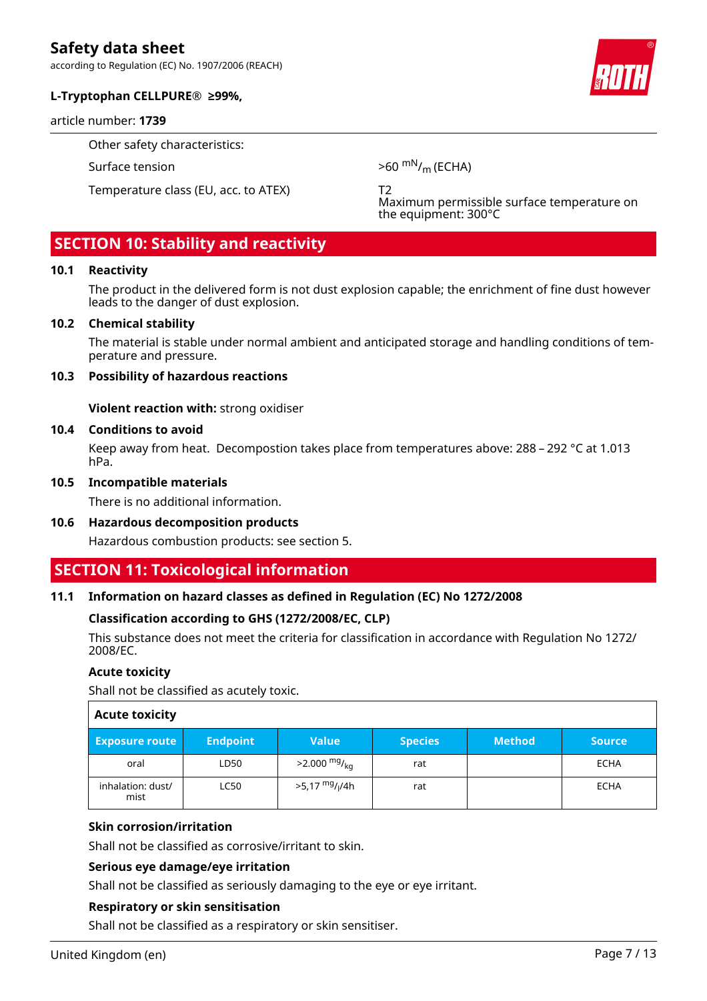according to Regulation (EC) No. 1907/2006 (REACH)

#### **L-Tryptophan CELLPURE® ≥99%,**

#### article number: **1739**

Other safety characteristics:

Temperature class (EU, acc. to ATEX) T2

Surface tension  $>60 \text{ mN/m}$  (ECHA)

Maximum permissible surface temperature on the equipment: 300°C

## **SECTION 10: Stability and reactivity**

#### **10.1 Reactivity**

The product in the delivered form is not dust explosion capable; the enrichment of fine dust however leads to the danger of dust explosion.

#### **10.2 Chemical stability**

The material is stable under normal ambient and anticipated storage and handling conditions of temperature and pressure.

#### **10.3 Possibility of hazardous reactions**

**Violent reaction with:** strong oxidiser

#### **10.4 Conditions to avoid**

Keep away from heat. Decompostion takes place from temperatures above: 288 – 292 °C at 1.013 hPa.

#### **10.5 Incompatible materials**

There is no additional information.

#### **10.6 Hazardous decomposition products**

Hazardous combustion products: see section 5.

### **SECTION 11: Toxicological information**

#### **11.1 Information on hazard classes as defined in Regulation (EC) No 1272/2008**

#### **Classification according to GHS (1272/2008/EC, CLP)**

This substance does not meet the criteria for classification in accordance with Regulation No 1272/ 2008/EC.

#### **Acute toxicity**

Shall not be classified as acutely toxic.

| <b>Acute toxicity</b>     |                 |                                        |                |               |               |
|---------------------------|-----------------|----------------------------------------|----------------|---------------|---------------|
| <b>Exposure route</b>     | <b>Endpoint</b> | <b>Value</b>                           | <b>Species</b> | <b>Method</b> | <b>Source</b> |
| oral                      | LD50            | $>2.000 \frac{mg}{ka}$                 | rat            |               | <b>ECHA</b>   |
| inhalation: dust/<br>mist | LC50            | >5,17 <sup>mg</sup> / <sub>l</sub> /4h | rat            |               | ECHA          |

#### **Skin corrosion/irritation**

Shall not be classified as corrosive/irritant to skin.

#### **Serious eye damage/eye irritation**

Shall not be classified as seriously damaging to the eye or eye irritant.

#### **Respiratory or skin sensitisation**

Shall not be classified as a respiratory or skin sensitiser.

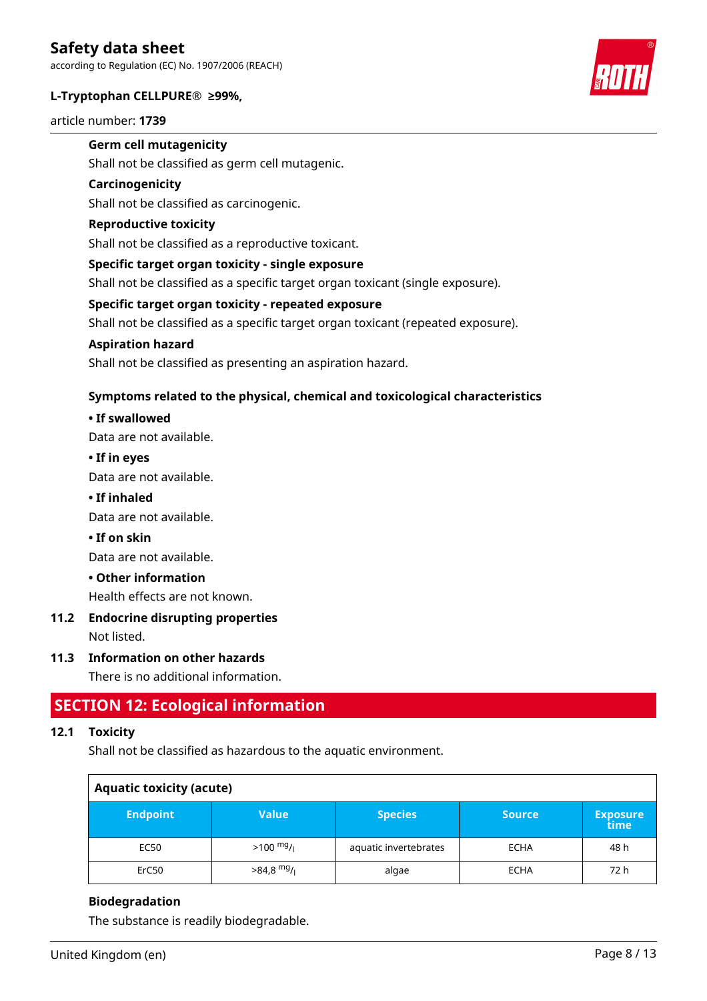#### **L-Tryptophan CELLPURE® ≥99%,**

article number: **1739**



### **Germ cell mutagenicity**

Shall not be classified as germ cell mutagenic.

#### **Carcinogenicity**

Shall not be classified as carcinogenic.

#### **Reproductive toxicity**

Shall not be classified as a reproductive toxicant.

#### **Specific target organ toxicity - single exposure**

Shall not be classified as a specific target organ toxicant (single exposure).

#### **Specific target organ toxicity - repeated exposure**

Shall not be classified as a specific target organ toxicant (repeated exposure).

#### **Aspiration hazard**

Shall not be classified as presenting an aspiration hazard.

#### **Symptoms related to the physical, chemical and toxicological characteristics**

#### **• If swallowed**

Data are not available.

#### **• If in eyes**

Data are not available.

#### **• If inhaled**

Data are not available.

#### **• If on skin**

Data are not available.

#### **• Other information**

Health effects are not known.

# **11.2 Endocrine disrupting properties**

Not listed.

#### **11.3 Information on other hazards**

There is no additional information.

### **SECTION 12: Ecological information**

#### **12.1 Toxicity**

Shall not be classified as hazardous to the aquatic environment.

| <b>Aquatic toxicity (acute)</b> |              |                       |               |                         |  |
|---------------------------------|--------------|-----------------------|---------------|-------------------------|--|
| <b>Endpoint</b>                 | <b>Value</b> | <b>Species</b>        | <b>Source</b> | <b>Exposure</b><br>time |  |
| EC50                            | $>100$ mg/   | aquatic invertebrates | <b>ECHA</b>   | 48 h                    |  |
| ErC50                           | $>84,8$ mg/  | algae                 | <b>ECHA</b>   | 72 h                    |  |

#### **Biodegradation**

The substance is readily biodegradable.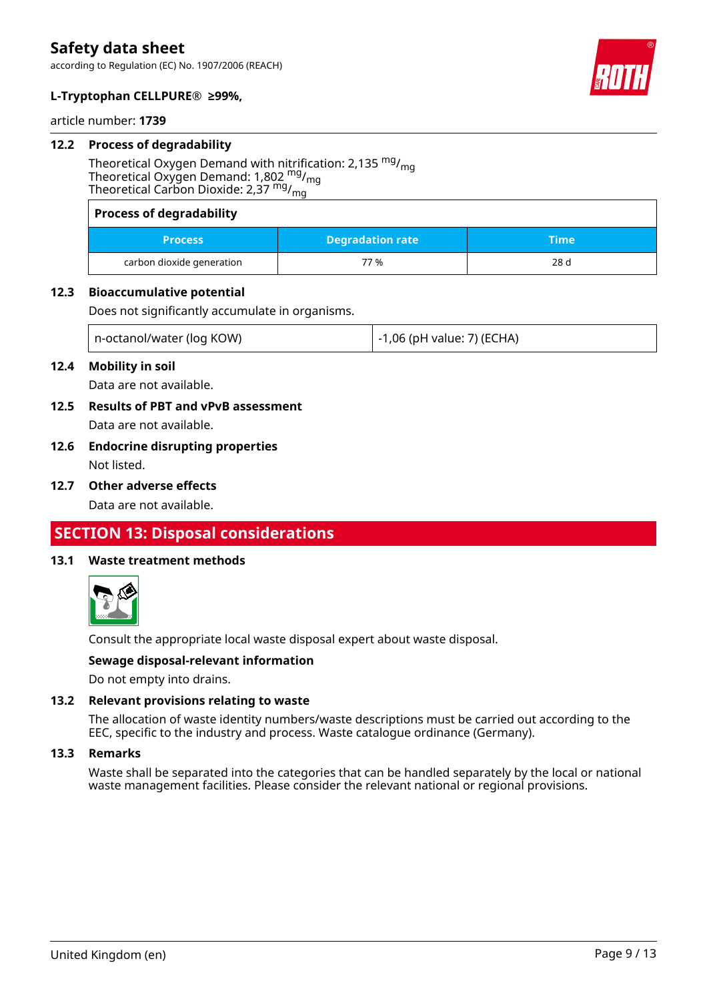

### **L-Tryptophan CELLPURE® ≥99%,**

article number: **1739**

#### **12.2 Process of degradability**

Theoretical Oxygen Demand with nitrification: 2,135  $mg/m<sub>g</sub>$ Theoretical Oxygen Demand: 1,802  $mg/m<sub>0</sub>$ Theoretical Carbon Dioxide: 2,37 mg/mg

| <b>Process of degradability</b> |                         |      |
|---------------------------------|-------------------------|------|
| <b>Process</b>                  | <b>Degradation rate</b> | Time |
| carbon dioxide generation       | 77%                     | 28 d |

#### **12.3 Bioaccumulative potential**

Does not significantly accumulate in organisms.

| n-octanol/water (log KOW) | $\,$ -1,06 (pH value: 7) (ECHA) |
|---------------------------|---------------------------------|
|---------------------------|---------------------------------|

#### **12.4 Mobility in soil**

Data are not available.

- **12.5 Results of PBT and vPvB assessment** Data are not available.
- **12.6 Endocrine disrupting properties** Not listed.
- **12.7 Other adverse effects**

Data are not available.

### **SECTION 13: Disposal considerations**

#### **13.1 Waste treatment methods**



Consult the appropriate local waste disposal expert about waste disposal.

#### **Sewage disposal-relevant information**

Do not empty into drains.

#### **13.2 Relevant provisions relating to waste**

The allocation of waste identity numbers/waste descriptions must be carried out according to the EEC, specific to the industry and process. Waste catalogue ordinance (Germany).

#### **13.3 Remarks**

Waste shall be separated into the categories that can be handled separately by the local or national waste management facilities. Please consider the relevant national or regional provisions.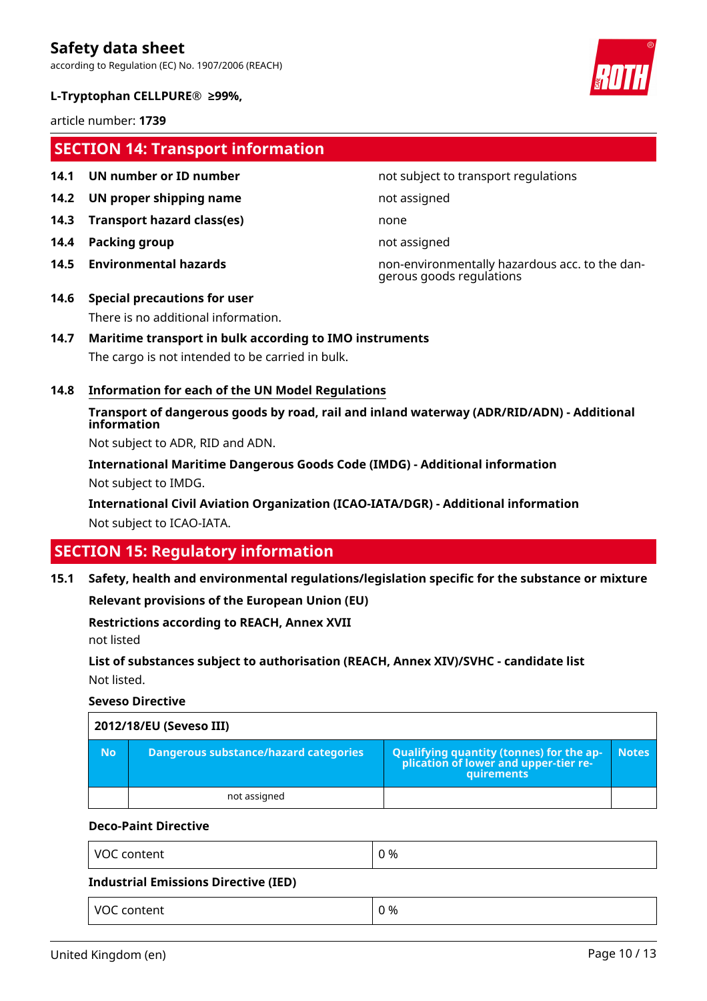according to Regulation (EC) No. 1907/2006 (REACH)

#### **L-Tryptophan CELLPURE® ≥99%,**

article number: **1739**

### **SECTION 14: Transport information**

- 
- **14.2 UN proper shipping name** not assigned
- **14.3 Transport hazard class(es)** none
- **14.4 Packing group not assigned**
- 

#### **14.1 UN number or ID number not subject to transport regulations**

**14.5 Environmental hazards** non-environmentally hazardous acc. to the dangerous goods regulations

### **14.6 Special precautions for user** There is no additional information.

#### **14.7 Maritime transport in bulk according to IMO instruments**

The cargo is not intended to be carried in bulk.

#### **14.8 Information for each of the UN Model Regulations**

**Transport of dangerous goods by road, rail and inland waterway (ADR/RID/ADN) - Additional information**

Not subject to ADR, RID and ADN.

**International Maritime Dangerous Goods Code (IMDG) - Additional information** Not subject to IMDG.

**International Civil Aviation Organization (ICAO-IATA/DGR) - Additional information** Not subject to ICAO-IATA.

## **SECTION 15: Regulatory information**

**15.1 Safety, health and environmental regulations/legislation specific for the substance or mixture**

**Relevant provisions of the European Union (EU)**

VOC content  $\begin{array}{ccc} \sim & \sim & \sim \end{array}$ 

**Restrictions according to REACH, Annex XVII**

not listed

**List of substances subject to authorisation (REACH, Annex XIV)/SVHC - candidate list** Not listed.

#### **Seveso Directive**

|           | 2012/18/EU (Seveso III)               |                                                                                                        |              |  |  |  |  |
|-----------|---------------------------------------|--------------------------------------------------------------------------------------------------------|--------------|--|--|--|--|
| <b>No</b> | Dangerous substance/hazard categories | <b>Qualifying quantity (tonnes) for the ap-</b><br>plication of lower and upper-tier re-<br>quirements | <b>Notes</b> |  |  |  |  |
|           | not assigned                          |                                                                                                        |              |  |  |  |  |

#### **Deco-Paint Directive**

| VOC content                          | 0 % |
|--------------------------------------|-----|
| Industrial Emissions Directive (IED) |     |

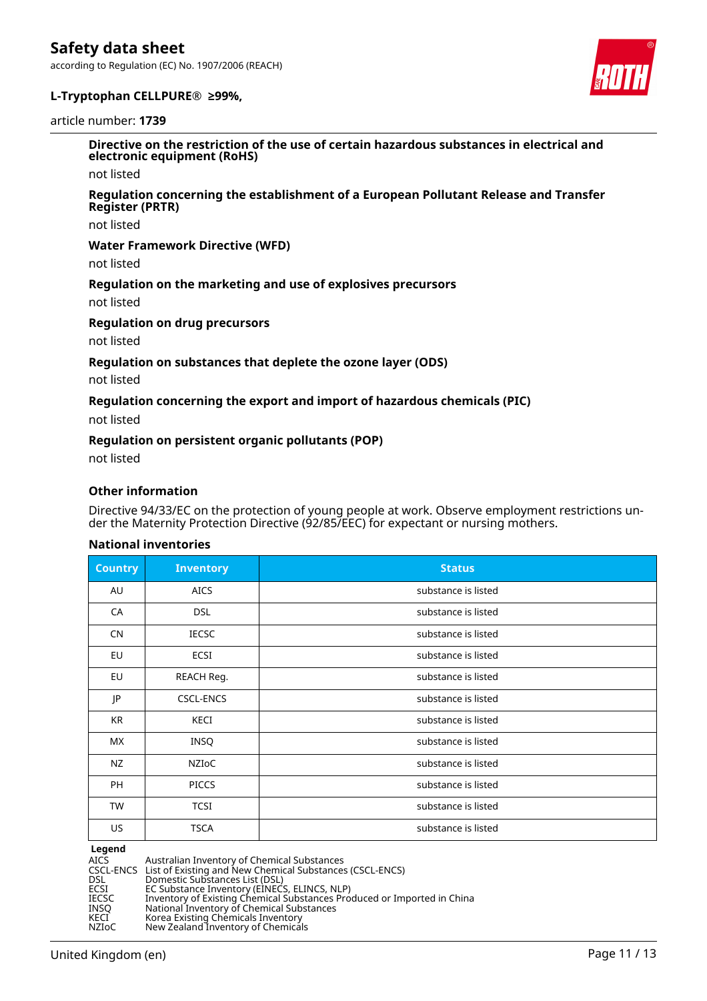

#### **L-Tryptophan CELLPURE® ≥99%,**

#### article number: **1739**

**Directive on the restriction of the use of certain hazardous substances in electrical and electronic equipment (RoHS)**

not listed

#### **Regulation concerning the establishment of a European Pollutant Release and Transfer Register (PRTR)**

not listed

#### **Water Framework Directive (WFD)**

not listed

#### **Regulation on the marketing and use of explosives precursors**

not listed

#### **Regulation on drug precursors**

not listed

#### **Regulation on substances that deplete the ozone layer (ODS)**

not listed

#### **Regulation concerning the export and import of hazardous chemicals (PIC)**

not listed

#### **Regulation on persistent organic pollutants (POP)**

not listed

#### **Other information**

Directive 94/33/EC on the protection of young people at work. Observe employment restrictions under the Maternity Protection Directive (92/85/EEC) for expectant or nursing mothers.

#### **National inventories**

| <b>Country</b> | <b>Inventory</b> | <b>Status</b>       |
|----------------|------------------|---------------------|
| AU             | <b>AICS</b>      | substance is listed |
| CA             | <b>DSL</b>       | substance is listed |
| <b>CN</b>      | <b>IECSC</b>     | substance is listed |
| EU             | ECSI             | substance is listed |
| EU             | REACH Reg.       | substance is listed |
| JP             | <b>CSCL-ENCS</b> | substance is listed |
| KR             | KECI             | substance is listed |
| МX             | <b>INSQ</b>      | substance is listed |
| NZ             | NZIOC            | substance is listed |
| <b>PH</b>      | <b>PICCS</b>     | substance is listed |
| <b>TW</b>      | <b>TCSI</b>      | substance is listed |
| US             | <b>TSCA</b>      | substance is listed |

**Legend**<br>AICS<br>CSCL-ENCS AICS Australian Inventory of Chemical Substances CSCL-ENCS List of Existing and New Chemical Substances (CSCL-ENCS) DSL Domestic Substances List (DSL) ECSI EC Substance Inventory (EINECS, ELINCS, NLP) IECSC Inventory of Existing Chemical Substances Produced or Imported in China INSQ National Inventory of Chemical Substances KECI Korea Existing Chemicals Inventory NZIoC New Zealand Inventory of Chemicals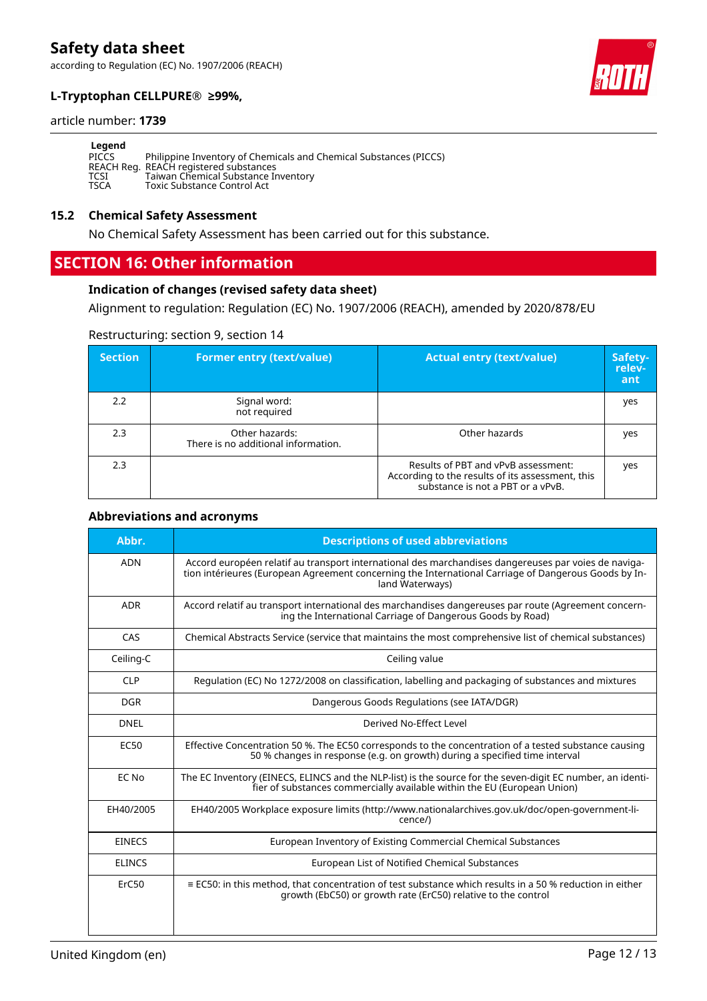### **L-Tryptophan CELLPURE® ≥99%,**



#### article number: **1739**

| Legend      |                                                                                                             |
|-------------|-------------------------------------------------------------------------------------------------------------|
| PICCS       | Philippine Inventory of Chemicals and Chemical Substances (PICCS)<br>REACH Reg. REACH registered substances |
| <b>TCSI</b> | Taiwan Chemical Substance Inventory                                                                         |
| <b>TSCA</b> | Toxic Substance Control Act                                                                                 |

#### **15.2 Chemical Safety Assessment**

No Chemical Safety Assessment has been carried out for this substance.

### **SECTION 16: Other information**

#### **Indication of changes (revised safety data sheet)**

Alignment to regulation: Regulation (EC) No. 1907/2006 (REACH), amended by 2020/878/EU

#### Restructuring: section 9, section 14

| <b>Section</b> | <b>Former entry (text/value)</b>                      | <b>Actual entry (text/value)</b>                                                                                             | Safety-<br>relev-<br>ant |
|----------------|-------------------------------------------------------|------------------------------------------------------------------------------------------------------------------------------|--------------------------|
| 2.2            | Signal word:<br>not required                          |                                                                                                                              | yes                      |
| 2.3            | Other hazards:<br>There is no additional information. | Other hazards                                                                                                                | yes                      |
| 2.3            |                                                       | Results of PBT and vPvB assessment:<br>According to the results of its assessment, this<br>substance is not a PBT or a vPvB. | yes                      |

#### **Abbreviations and acronyms**

| Abbr.         | <b>Descriptions of used abbreviations</b>                                                                                                                                                                                       |
|---------------|---------------------------------------------------------------------------------------------------------------------------------------------------------------------------------------------------------------------------------|
| <b>ADN</b>    | Accord européen relatif au transport international des marchandises dangereuses par voies de naviga-<br>tion intérieures (European Agreement concerning the International Carriage of Dangerous Goods by In-<br>land Waterways) |
| <b>ADR</b>    | Accord relatif au transport international des marchandises dangereuses par route (Agreement concern-<br>ing the International Carriage of Dangerous Goods by Road)                                                              |
| CAS           | Chemical Abstracts Service (service that maintains the most comprehensive list of chemical substances)                                                                                                                          |
| Ceiling-C     | Ceiling value                                                                                                                                                                                                                   |
| <b>CLP</b>    | Regulation (EC) No 1272/2008 on classification, labelling and packaging of substances and mixtures                                                                                                                              |
| <b>DGR</b>    | Dangerous Goods Regulations (see IATA/DGR)                                                                                                                                                                                      |
| <b>DNEL</b>   | Derived No-Effect Level                                                                                                                                                                                                         |
| <b>EC50</b>   | Effective Concentration 50 %. The EC50 corresponds to the concentration of a tested substance causing<br>50 % changes in response (e.g. on growth) during a specified time interval                                             |
| EC No         | The EC Inventory (EINECS, ELINCS and the NLP-list) is the source for the seven-digit EC number, an identi-<br>fier of substances commercially available within the EU (European Union)                                          |
| EH40/2005     | EH40/2005 Workplace exposure limits (http://www.nationalarchives.gov.uk/doc/open-government-li-<br>cence/)                                                                                                                      |
| <b>EINECS</b> | European Inventory of Existing Commercial Chemical Substances                                                                                                                                                                   |
| <b>ELINCS</b> | European List of Notified Chemical Substances                                                                                                                                                                                   |
| ErC50         | $\equiv$ EC50: in this method, that concentration of test substance which results in a 50 % reduction in either<br>growth (EbC50) or growth rate (ErC50) relative to the control                                                |